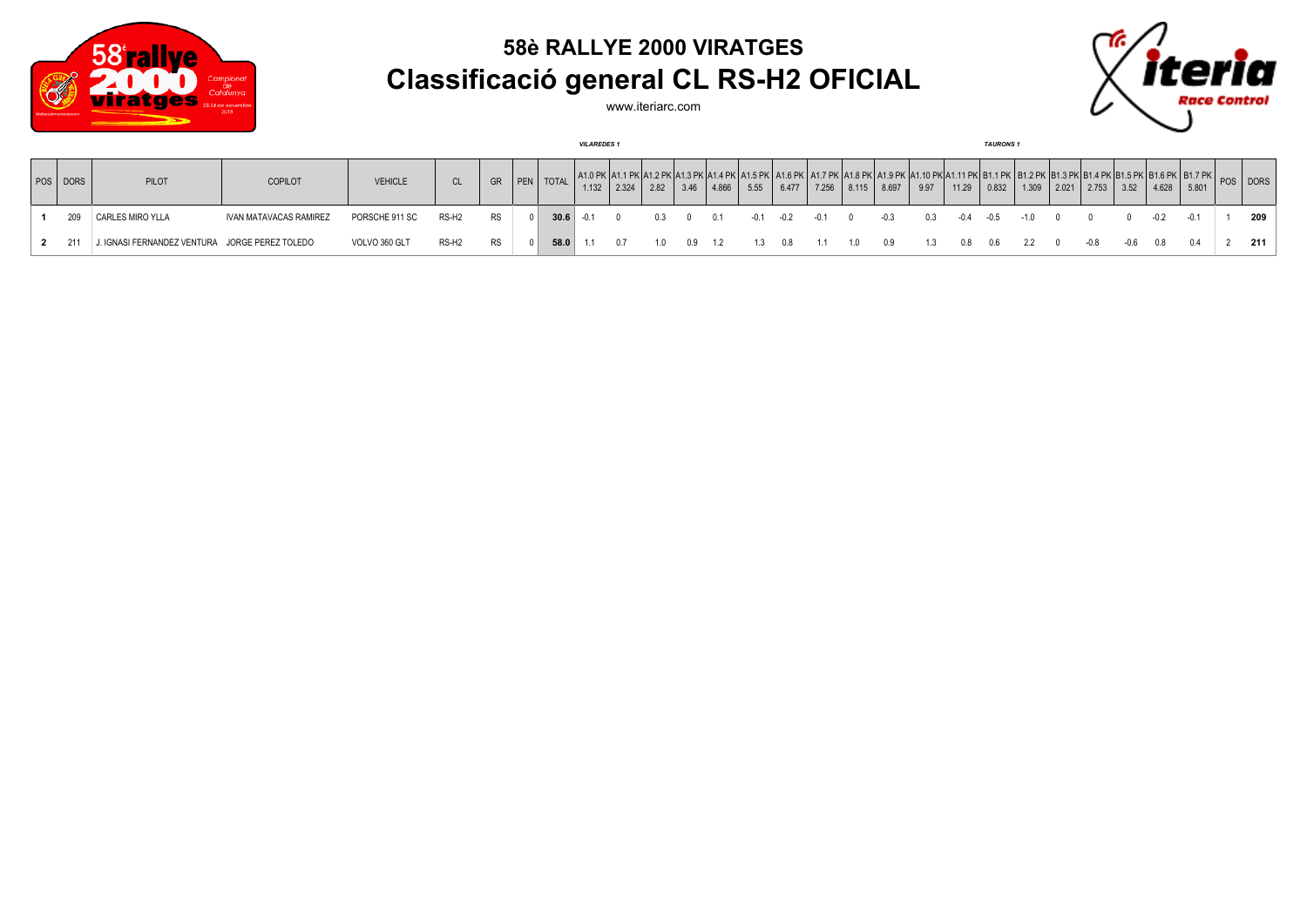

## **58è RALLYE 2000 VIRATGES Classificació general CL RS-H2 OFICIAL**

www.iteriarc.com



|            |                                                |                        |                |                   |           |            |              | <b>VILAREDES1</b> |       |      |      |       |        |        |        |       |        |      |       |        | <b>TAURONS1</b> |  |               |      |       |                                                                                                                                                                                                                                                                          |  |     |
|------------|------------------------------------------------|------------------------|----------------|-------------------|-----------|------------|--------------|-------------------|-------|------|------|-------|--------|--------|--------|-------|--------|------|-------|--------|-----------------|--|---------------|------|-------|--------------------------------------------------------------------------------------------------------------------------------------------------------------------------------------------------------------------------------------------------------------------------|--|-----|
| POS   DORS | PILOT                                          | <b>COPILOT</b>         | <b>VEHICLE</b> |                   | <b>GR</b> | <b>PEN</b> | <b>TOTAL</b> | 1.132             | 2.324 | 2.82 | 3.46 | 4.866 | 5.55   | 6.477  | 7.256  | 8.115 | 8.697  | 9.97 | 11.29 | 0.832  | 1.309           |  | 2.021   2.753 | 3.52 | 4.628 | A1.0 PK   A1.1 PK   A1.2 PK   A1.3 PK   A1.4 PK   A1.5 PK   A1.6 PK   A1.7 PK   A1.8 PK   A1.9 PK   A1.10 PK  A1.11 PK   B1.1 PK   B1.2 PK   B1.3 PK   B1.4 PK  B1.5 PK   B1.6 PK   B1.7 PK  <br>$\begin{array}{c c} \text{D1.7 F} \\ \text{5.801} \end{array}$ POS DORS |  |     |
| 209        | CARLES MIRO YLLA                               | IVAN MATAVACAS RAMIREZ | PORSCHE 911 SC | RS-H <sub>2</sub> | RS        |            | 30.6         | $-0.1$            |       | 0.3  |      | 0.1   | $-0.1$ | $-0.2$ | $-0.1$ |       | $-0.3$ | 0.3  | -04   | $-0.5$ | $-10$           |  |               |      |       |                                                                                                                                                                                                                                                                          |  | 209 |
|            | J. IGNASI FERNANDEZ VENTURA JORGE PEREZ TOLEDO |                        | VOLVO 360 GLT  | RS-H <sub>2</sub> | <b>RS</b> |            | 58.0         |                   |       | 10   |      | - 12  | 1.3    | 0.8    | $-1.1$ | 10    | 0.9    |      | 0.8   | 0.6    | 22              |  | $-0.8$        | -06  | 08    |                                                                                                                                                                                                                                                                          |  | 211 |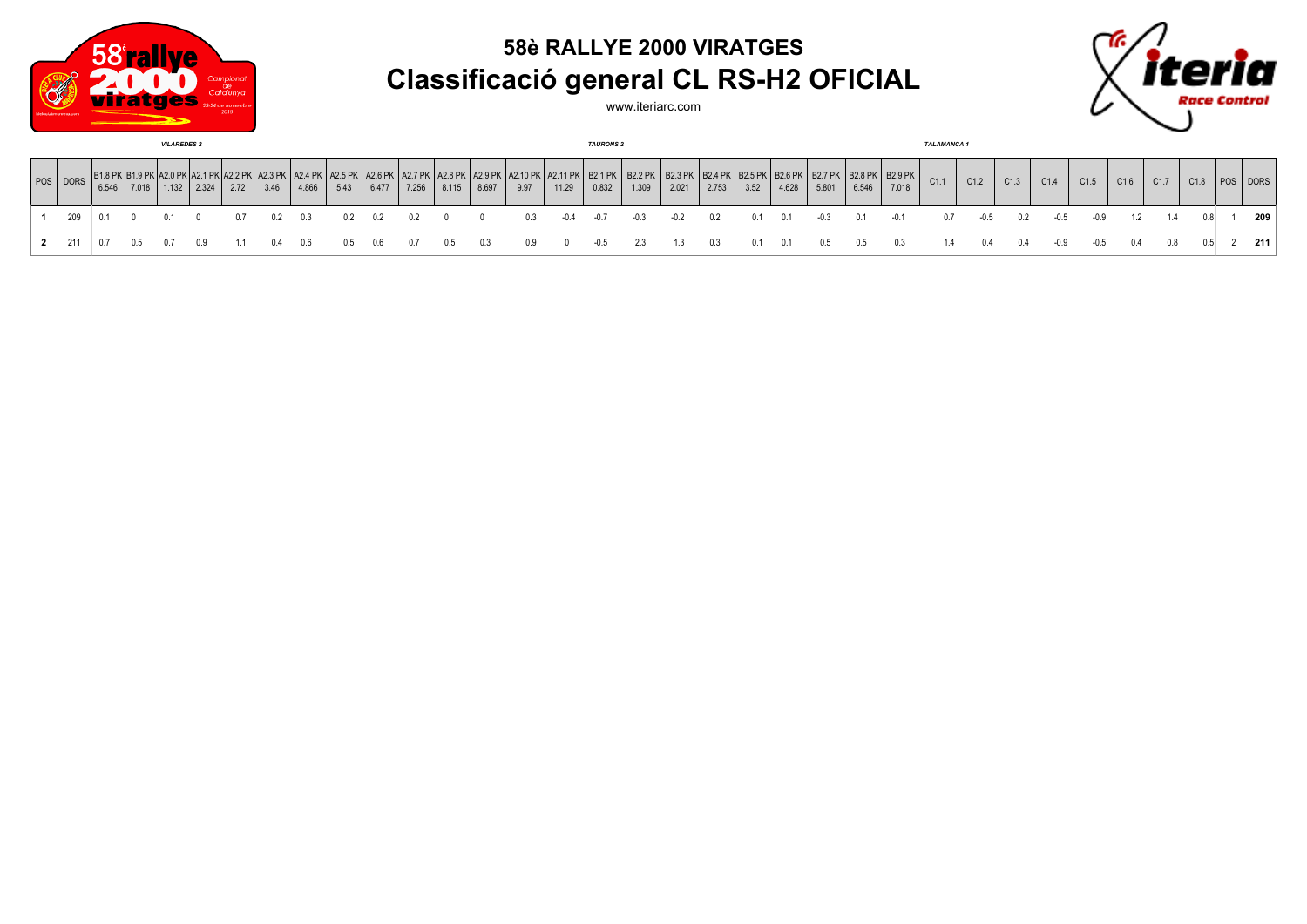

## **58è RALLYE 2000 VIRATGES Classificació general CL RS-H2 OFICIAL**



www.iteriarc.com

| <b>VILAREDES 2</b> |       |                                              |       |       |      |                             |       |      |       |       |                            |       |                                       | <b>TAURONS 2</b> |        |                         |                         |                              |      |       |                                                    |       | <b>TALAMANCA1</b> |      |        |      |        |        |      |      |      |          |
|--------------------|-------|----------------------------------------------|-------|-------|------|-----------------------------|-------|------|-------|-------|----------------------------|-------|---------------------------------------|------------------|--------|-------------------------|-------------------------|------------------------------|------|-------|----------------------------------------------------|-------|-------------------|------|--------|------|--------|--------|------|------|------|----------|
| POS DORS           | 6.546 | B1.8 PK   B1.9 PK   A2.0 PK   ,<br>5   7.018 | 1.132 | 2.324 | 2.72 | $^{\circ}$ A2.3 PK,<br>3.46 | 4.866 | 5.43 | 6.477 | 7.256 | A2.8 PK   A2.9 PK<br>8.115 | 8.697 | A2.10 PK   A2.11 PK   B2.1 PK<br>9.97 | 11.29            | 0.832  | <b>B2.2 PK</b><br>1.309 | <b>B2.3 PK</b><br>2.021 | B2.4 PK   B2.5 PK  <br>2.753 | 3.52 | 4.628 | <   B2.6 PK   B2.7 PK   B2.8 PK   B2.9 PK<br>5.801 | 6.546 | 7.018             | C1.1 | C1.2   | C1.3 | C1.4   | C1.5   | C1.6 | C1.7 | C1.8 | POS DORS |
| 209                |       |                                              |       |       |      |                             | 0.3   |      |       |       |                            |       |                                       | $-0.4$           | $-0.7$ | $-0.3$                  | -0.2                    | 0.2                          | 0.1  | 0.1   | $-0.3$                                             | 0.1   | $-0.1$            | 0.7  | $-0.5$ | 0.2  | $-0.5$ | $-0.9$ |      |      |      | 209      |
| 2 211              | 0.7   | 0.5                                          |       |       |      |                             | 0.6   | 0.5  | 0.6   |       | U.5                        |       |                                       |                  | -0.5   | 2.3                     | 1.3                     | 0.3                          | 0.1  | 0.1   | 0.5                                                | 0.5   | 0.3               | 1.4  | 0.4    | 0.4  | $-0.9$ | $-0.5$ | 0.4  | 0.8  |      | 211      |